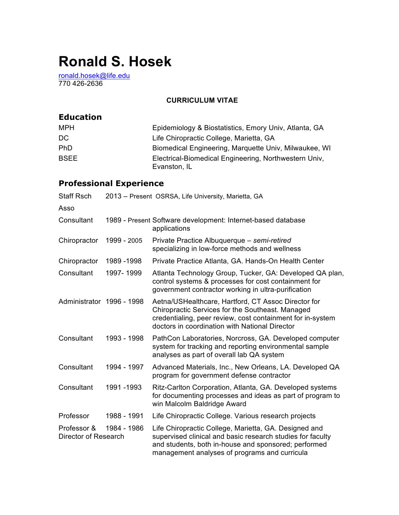# **Ronald S. Hosek**

ronald.hosek@life.edu 770 426-2636

### **CURRICULUM VITAE**

### **Education**

| MPH         | Epidemiology & Biostatistics, Emory Univ, Atlanta, GA                 |
|-------------|-----------------------------------------------------------------------|
| DC.         | Life Chiropractic College, Marietta, GA                               |
| <b>PhD</b>  | Biomedical Engineering, Marquette Univ, Milwaukee, WI                 |
| <b>BSEE</b> | Electrical-Biomedical Engineering, Northwestern Univ,<br>Evanston, IL |

## **Professional Experience**

| <b>Staff Rsch</b>                   | 2013 - Present OSRSA, Life University, Marietta, GA |                                                                                                                                                                                                                              |  |
|-------------------------------------|-----------------------------------------------------|------------------------------------------------------------------------------------------------------------------------------------------------------------------------------------------------------------------------------|--|
| Asso                                |                                                     |                                                                                                                                                                                                                              |  |
| Consultant                          |                                                     | 1989 - Present Software development: Internet-based database<br>applications                                                                                                                                                 |  |
| Chiropractor                        | 1999 - 2005                                         | Private Practice Albuquerque - semi-retired<br>specializing in low-force methods and wellness                                                                                                                                |  |
| Chiropractor                        | 1989 - 1998                                         | Private Practice Atlanta, GA. Hands-On Health Center                                                                                                                                                                         |  |
| Consultant                          | 1997-1999                                           | Atlanta Technology Group, Tucker, GA: Developed QA plan,<br>control systems & processes for cost containment for<br>government contractor working in ultra-purification                                                      |  |
| Administrator 1996 - 1998           |                                                     | Aetna/USHealthcare, Hartford, CT Assoc Director for<br>Chiropractic Services for the Southeast. Managed<br>credentialing, peer review, cost containment for in-system<br>doctors in coordination with National Director      |  |
| Consultant                          | 1993 - 1998                                         | PathCon Laboratories, Norcross, GA. Developed computer<br>system for tracking and reporting environmental sample<br>analyses as part of overall lab QA system                                                                |  |
| Consultant                          | 1994 - 1997                                         | Advanced Materials, Inc., New Orleans, LA. Developed QA<br>program for government defense contractor                                                                                                                         |  |
| Consultant                          | 1991 - 1993                                         | Ritz-Carlton Corporation, Atlanta, GA. Developed systems<br>for documenting processes and ideas as part of program to<br>win Malcolm Baldridge Award                                                                         |  |
| Professor                           | 1988 - 1991                                         | Life Chiropractic College. Various research projects                                                                                                                                                                         |  |
| Professor &<br>Director of Research | 1984 - 1986                                         | Life Chiropractic College, Marietta, GA. Designed and<br>supervised clinical and basic research studies for faculty<br>and students, both in-house and sponsored; performed<br>management analyses of programs and curricula |  |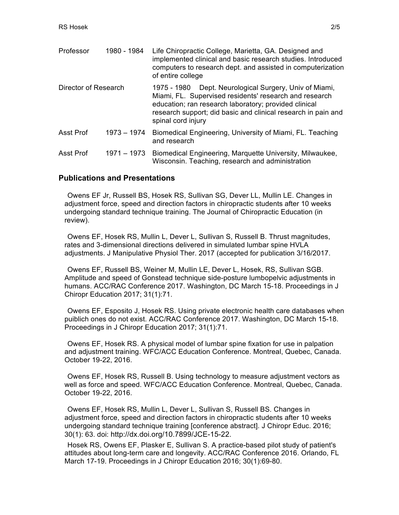| Professor            | 1980 - 1984   | Life Chiropractic College, Marietta, GA. Designed and<br>implemented clinical and basic research studies. Introduced<br>computers to research dept. and assisted in computerization<br>of entire college                                                            |
|----------------------|---------------|---------------------------------------------------------------------------------------------------------------------------------------------------------------------------------------------------------------------------------------------------------------------|
| Director of Research |               | Dept. Neurological Surgery, Univ of Miami,<br>1975 - 1980<br>Miami, FL. Supervised residents' research and research<br>education; ran research laboratory; provided clinical<br>research support; did basic and clinical research in pain and<br>spinal cord injury |
| Asst Prof            | $1973 - 1974$ | Biomedical Engineering, University of Miami, FL. Teaching<br>and research                                                                                                                                                                                           |
| Asst Prof            | $1971 - 1973$ | Biomedical Engineering, Marquette University, Milwaukee,<br>Wisconsin. Teaching, research and administration                                                                                                                                                        |

#### **Publications and Presentations**

Owens EF Jr, Russell BS, Hosek RS, Sullivan SG, Dever LL, Mullin LE. Changes in adjustment force, speed and direction factors in chiropractic students after 10 weeks undergoing standard technique training. The Journal of Chiropractic Education (in review).

Owens EF, Hosek RS, Mullin L, Dever L, Sullivan S, Russell B. Thrust magnitudes, rates and 3-dimensional directions delivered in simulated lumbar spine HVLA adjustments. J Manipulative Physiol Ther. 2017 (accepted for publication 3/16/2017.

Owens EF, Russell BS, Weiner M, Mullin LE, Dever L, Hosek, RS, Sullivan SGB. Amplitude and speed of Gonstead technique side-posture lumbopelvic adjustments in humans. ACC/RAC Conference 2017. Washington, DC March 15-18. Proceedings in J Chiropr Education 2017; 31(1):71.

Owens EF, Esposito J, Hosek RS. Using private electronic health care databases when puiblich ones do not exist. ACC/RAC Conference 2017. Washington, DC March 15-18. Proceedings in J Chiropr Education 2017; 31(1):71.

Owens EF, Hosek RS. A physical model of lumbar spine fixation for use in palpation and adjustment training. WFC/ACC Education Conference. Montreal, Quebec, Canada. October 19-22, 2016.

Owens EF, Hosek RS, Russell B. Using technology to measure adjustment vectors as well as force and speed. WFC/ACC Education Conference. Montreal, Quebec, Canada. October 19-22, 2016.

Owens EF, Hosek RS, Mullin L, Dever L, Sullivan S, Russell BS. Changes in adjustment force, speed and direction factors in chiropractic students after 10 weeks undergoing standard technique training [conference abstract]. J Chiropr Educ. 2016; 30(1): 63. doi: http://dx.doi.org/10.7899/JCE-15-22.

Hosek RS, Owens EF, Plasker E, Sullivan S. A practice-based pilot study of patient's attitudes about long-term care and longevity. ACC/RAC Conference 2016. Orlando, FL March 17-19. Proceedings in J Chiropr Education 2016; 30(1):69-80.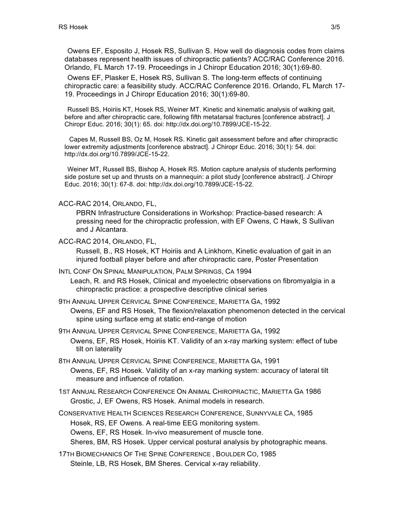Owens EF, Esposito J, Hosek RS, Sullivan S. How well do diagnosis codes from claims databases represent health issues of chiropractic patients? ACC/RAC Conference 2016. Orlando, FL March 17-19. Proceedings in J Chiropr Education 2016; 30(1):69-80.

Owens EF, Plasker E, Hosek RS, Sullivan S. The long-term effects of continuing chiropractic care: a feasibility study. ACC/RAC Conference 2016. Orlando, FL March 17- 19. Proceedings in J Chiropr Education 2016; 30(1):69-80.

Russell BS, Hoiriis KT, Hosek RS, Weiner MT. Kinetic and kinematic analysis of walking gait, before and after chiropractic care, following fifth metatarsal fractures [conference abstract]. J Chiropr Educ. 2016; 30(1): 65. doi: http://dx.doi.org/10.7899/JCE-15-22.

Capes M, Russell BS, Oz M, Hosek RS. Kinetic gait assessment before and after chiropractic lower extremity adjustments [conference abstract]. J Chiropr Educ. 2016; 30(1): 54. doi: http://dx.doi.org/10.7899/JCE-15-22.

Weiner MT, Russell BS, Bishop A, Hosek RS. Motion capture analysis of students performing side posture set up and thrusts on a mannequin: a pilot study [conference abstract]. J Chiropr Educ. 2016; 30(1): 67-8. doi: http://dx.doi.org/10.7899/JCE-15-22.

ACC-RAC 2014, ORLANDO, FL,

PBRN Infrastructure Considerations in Workshop: Practice-based research: A pressing need for the chiropractic profession, with EF Owens, C Hawk, S Sullivan and J Alcantara.

ACC-RAC 2014, ORLANDO, FL,

Russell, B., RS Hosek, KT Hoiriis and A Linkhorn, Kinetic evaluation of gait in an injured football player before and after chiropractic care, Poster Presentation

INTL CONF ON SPINAL MANIPULATION, PALM SPRINGS, CA 1994

Leach, R. and RS Hosek, Clinical and myoelectric observations on fibromyalgia in a chiropractic practice: a prospective descriptive clinical series

9TH ANNUAL UPPER CERVICAL SPINE CONFERENCE, MARIETTA GA, 1992

Owens, EF and RS Hosek, The flexion/relaxation phenomenon detected in the cervical spine using surface emg at static end-range of motion

9TH ANNUAL UPPER CERVICAL SPINE CONFERENCE, MARIETTA GA, 1992 Owens, EF, RS Hosek, Hoiriis KT. Validity of an x-ray marking system: effect of tube tilt on laterality

8TH ANNUAL UPPER CERVICAL SPINE CONFERENCE, MARIETTA GA, 1991 Owens, EF, RS Hosek. Validity of an x-ray marking system: accuracy of lateral tilt measure and influence of rotation.

1ST ANNUAL RESEARCH CONFERENCE ON ANIMAL CHIROPRACTIC, MARIETTA GA 1986 Grostic, J, EF Owens, RS Hosek. Animal models in research.

CONSERVATIVE HEALTH SCIENCES RESEARCH CONFERENCE, SUNNYVALE CA, 1985 Hosek, RS, EF Owens. A real-time EEG monitoring system. Owens, EF, RS Hosek. In-vivo measurement of muscle tone.

Sheres, BM, RS Hosek. Upper cervical postural analysis by photographic means.

17TH BIOMECHANICS OF THE SPINE CONFERENCE , BOULDER CO, 1985 Steinle, LB, RS Hosek, BM Sheres. Cervical x-ray reliability.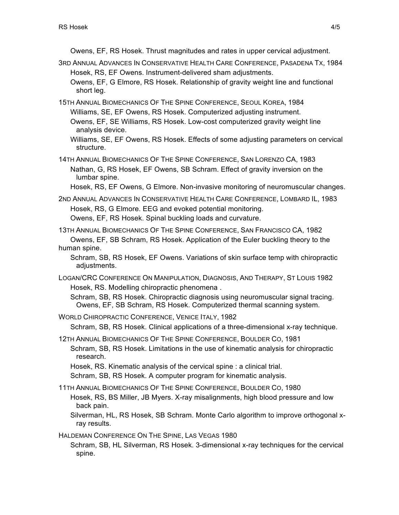Owens, EF, RS Hosek. Thrust magnitudes and rates in upper cervical adjustment.

- 3RD ANNUAL ADVANCES IN CONSERVATIVE HEALTH CARE CONFERENCE, PASADENA TX, 1984 Hosek, RS, EF Owens. Instrument-delivered sham adjustments. Owens, EF, G Elmore, RS Hosek. Relationship of gravity weight line and functional short leg.
- 15TH ANNUAL BIOMECHANICS OF THE SPINE CONFERENCE, SEOUL KOREA, 1984 Williams, SE, EF Owens, RS Hosek. Computerized adjusting instrument. Owens, EF, SE Williams, RS Hosek. Low-cost computerized gravity weight line

analysis device.

Williams, SE, EF Owens, RS Hosek. Effects of some adjusting parameters on cervical structure.

14TH ANNUAL BIOMECHANICS OF THE SPINE CONFERENCE, SAN LORENZO CA, 1983 Nathan, G, RS Hosek, EF Owens, SB Schram. Effect of gravity inversion on the lumbar spine.

Hosek, RS, EF Owens, G Elmore. Non-invasive monitoring of neuromuscular changes.

2ND ANNUAL ADVANCES IN CONSERVATIVE HEALTH CARE CONFERENCE, LOMBARD IL, 1983 Hosek, RS, G Elmore. EEG and evoked potential monitoring. Owens, EF, RS Hosek. Spinal buckling loads and curvature.

13TH ANNUAL BIOMECHANICS OF THE SPINE CONFERENCE, SAN FRANCISCO CA, 1982 Owens, EF, SB Schram, RS Hosek. Application of the Euler buckling theory to the human spine.

Schram, SB, RS Hosek, EF Owens. Variations of skin surface temp with chiropractic adiustments.

LOGAN/CRC CONFERENCE ON MANIPULATION, DIAGNOSIS, AND THERAPY, ST LOUIS 1982 Hosek, RS. Modelling chiropractic phenomena .

Schram, SB, RS Hosek. Chiropractic diagnosis using neuromuscular signal tracing. Owens, EF, SB Schram, RS Hosek. Computerized thermal scanning system.

WORLD CHIROPRACTIC CONFERENCE, VENICE ITALY, 1982

Schram, SB, RS Hosek. Clinical applications of a three-dimensional x-ray technique.

12TH ANNUAL BIOMECHANICS OF THE SPINE CONFERENCE, BOULDER CO, 1981 Schram, SB, RS Hosek. Limitations in the use of kinematic analysis for chiropractic research.

Hosek, RS. Kinematic analysis of the cervical spine : a clinical trial.

Schram, SB, RS Hosek. A computer program for kinematic analysis.

11TH ANNUAL BIOMECHANICS OF THE SPINE CONFERENCE, BOULDER CO, 1980

Hosek, RS, BS Miller, JB Myers. X-ray misalignments, high blood pressure and low back pain.

Silverman, HL, RS Hosek, SB Schram. Monte Carlo algorithm to improve orthogonal xray results.

HALDEMAN CONFERENCE ON THE SPINE, LAS VEGAS 1980

Schram, SB, HL Silverman, RS Hosek. 3-dimensional x-ray techniques for the cervical spine.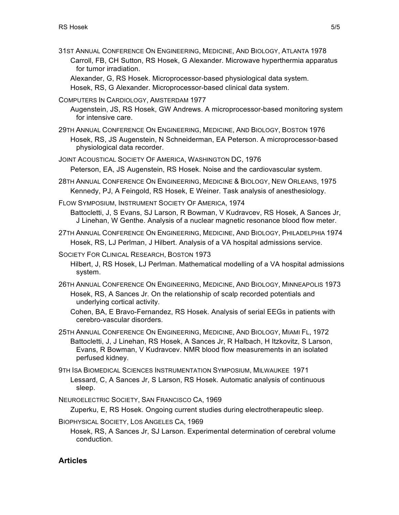31ST ANNUAL CONFERENCE ON ENGINEERING, MEDICINE, AND BIOLOGY, ATLANTA 1978 Carroll, FB, CH Sutton, RS Hosek, G Alexander. Microwave hyperthermia apparatus for tumor irradiation.

Alexander, G, RS Hosek. Microprocessor-based physiological data system.

Hosek, RS, G Alexander. Microprocessor-based clinical data system.

COMPUTERS IN CARDIOLOGY, AMSTERDAM 1977

Augenstein, JS, RS Hosek, GW Andrews. A microprocessor-based monitoring system for intensive care.

29TH ANNUAL CONFERENCE ON ENGINEERING, MEDICINE, AND BIOLOGY, BOSTON 1976 Hosek, RS, JS Augenstein, N Schneiderman, EA Peterson. A microprocessor-based physiological data recorder.

JOINT ACOUSTICAL SOCIETY OF AMERICA, WASHINGTON DC, 1976 Peterson, EA, JS Augenstein, RS Hosek. Noise and the cardiovascular system.

- 28TH ANNUAL CONFERENCE ON ENGINEERING, MEDICINE & BIOLOGY, NEW ORLEANS, 1975 Kennedy, PJ, A Feingold, RS Hosek, E Weiner. Task analysis of anesthesiology.
- FLOW SYMPOSIUM, INSTRUMENT SOCIETY OF AMERICA, 1974

Battocletti, J, S Evans, SJ Larson, R Bowman, V Kudravcev, RS Hosek, A Sances Jr, J Linehan, W Genthe. Analysis of a nuclear magnetic resonance blood flow meter.

27TH ANNUAL CONFERENCE ON ENGINEERING, MEDICINE, AND BIOLOGY, PHILADELPHIA 1974 Hosek, RS, LJ Perlman, J Hilbert. Analysis of a VA hospital admissions service.

SOCIETY FOR CLINICAL RESEARCH, BOSTON 1973

Hilbert, J, RS Hosek, LJ Perlman. Mathematical modelling of a VA hospital admissions system.

- 26TH ANNUAL CONFERENCE ON ENGINEERING, MEDICINE, AND BIOLOGY, MINNEAPOLIS 1973 Hosek, RS, A Sances Jr. On the relationship of scalp recorded potentials and underlying cortical activity.
	- Cohen, BA, E Bravo-Fernandez, RS Hosek. Analysis of serial EEGs in patients with cerebro-vascular disorders.
- 25TH ANNUAL CONFERENCE ON ENGINEERING, MEDICINE, AND BIOLOGY, MIAMI FL, 1972 Battocletti, J, J Linehan, RS Hosek, A Sances Jr, R Halbach, H Itzkovitz, S Larson, Evans, R Bowman, V Kudravcev. NMR blood flow measurements in an isolated perfused kidney.

9TH ISA BIOMEDICAL SCIENCES INSTRUMENTATION SYMPOSIUM, MILWAUKEE 1971 Lessard, C, A Sances Jr, S Larson, RS Hosek. Automatic analysis of continuous sleep.

NEUROELECTRIC SOCIETY, SAN FRANCISCO CA, 1969

Zuperku, E, RS Hosek. Ongoing current studies during electrotherapeutic sleep.

BIOPHYSICAL SOCIETY, LOS ANGELES CA, 1969

Hosek, RS, A Sances Jr, SJ Larson. Experimental determination of cerebral volume conduction.

### **Articles**